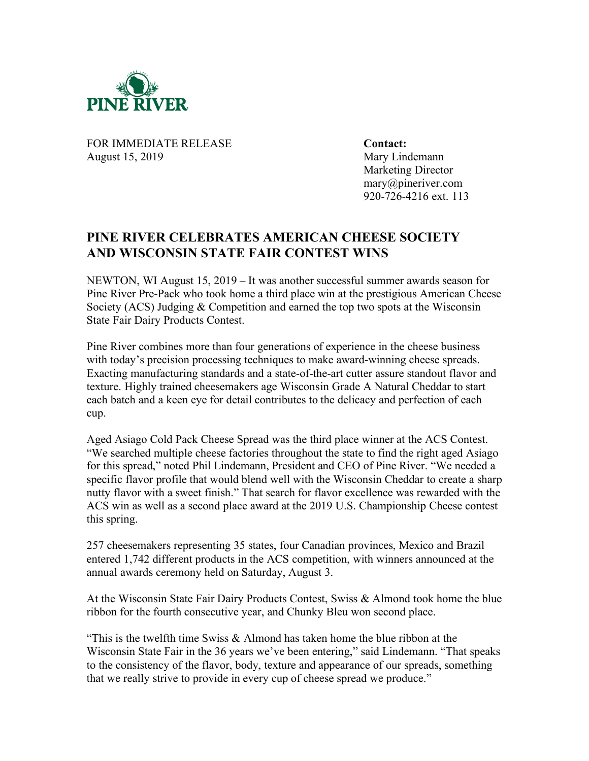

FOR IMMEDIATE RELEASE **Contact:** August 15, 2019 Mary Lindemann

Marketing Director mary@pineriver.com 920-726-4216 ext. 113

## **PINE RIVER CELEBRATES AMERICAN CHEESE SOCIETY AND WISCONSIN STATE FAIR CONTEST WINS**

NEWTON, WI August 15, 2019 – It was another successful summer awards season for Pine River Pre-Pack who took home a third place win at the prestigious American Cheese Society (ACS) Judging & Competition and earned the top two spots at the Wisconsin State Fair Dairy Products Contest.

Pine River combines more than four generations of experience in the cheese business with today's precision processing techniques to make award-winning cheese spreads. Exacting manufacturing standards and a state-of-the-art cutter assure standout flavor and texture. Highly trained cheesemakers age Wisconsin Grade A Natural Cheddar to start each batch and a keen eye for detail contributes to the delicacy and perfection of each cup.

Aged Asiago Cold Pack Cheese Spread was the third place winner at the ACS Contest. "We searched multiple cheese factories throughout the state to find the right aged Asiago for this spread," noted Phil Lindemann, President and CEO of Pine River. "We needed a specific flavor profile that would blend well with the Wisconsin Cheddar to create a sharp nutty flavor with a sweet finish." That search for flavor excellence was rewarded with the ACS win as well as a second place award at the 2019 U.S. Championship Cheese contest this spring.

257 cheesemakers representing 35 states, four Canadian provinces, Mexico and Brazil entered 1,742 different products in the ACS competition, with winners announced at the annual awards ceremony held on Saturday, August 3.

At the Wisconsin State Fair Dairy Products Contest, Swiss & Almond took home the blue ribbon for the fourth consecutive year, and Chunky Bleu won second place.

"This is the twelfth time Swiss  $\&$  Almond has taken home the blue ribbon at the Wisconsin State Fair in the 36 years we've been entering," said Lindemann. "That speaks to the consistency of the flavor, body, texture and appearance of our spreads, something that we really strive to provide in every cup of cheese spread we produce."